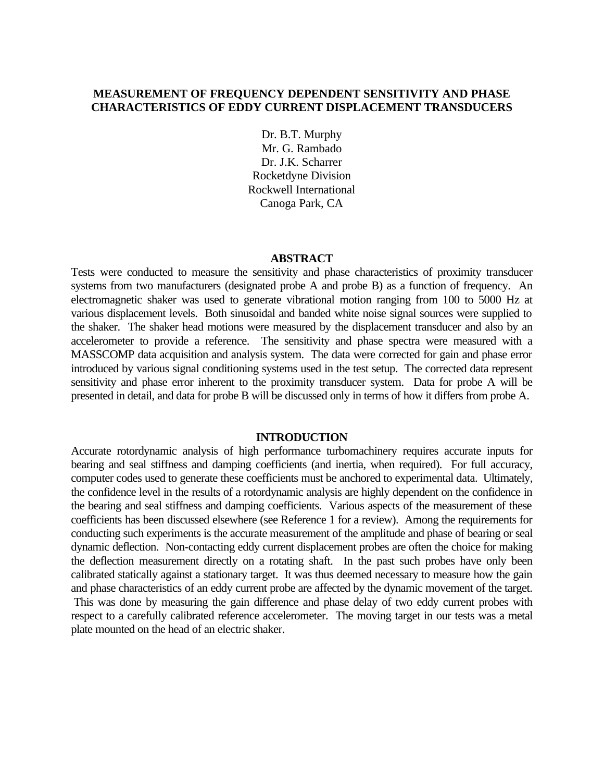# **MEASUREMENT OF FREQUENCY DEPENDENT SENSITIVITY AND PHASE CHARACTERISTICS OF EDDY CURRENT DISPLACEMENT TRANSDUCERS**

Dr. B.T. Murphy Mr. G. Rambado Dr. J.K. Scharrer Rocketdyne Division Rockwell International Canoga Park, CA

#### **ABSTRACT**

Tests were conducted to measure the sensitivity and phase characteristics of proximity transducer systems from two manufacturers (designated probe A and probe B) as a function of frequency. An electromagnetic shaker was used to generate vibrational motion ranging from 100 to 5000 Hz at various displacement levels. Both sinusoidal and banded white noise signal sources were supplied to the shaker. The shaker head motions were measured by the displacement transducer and also by an accelerometer to provide a reference. The sensitivity and phase spectra were measured with a MASSCOMP data acquisition and analysis system. The data were corrected for gain and phase error introduced by various signal conditioning systems used in the test setup. The corrected data represent sensitivity and phase error inherent to the proximity transducer system. Data for probe A will be presented in detail, and data for probe B will be discussed only in terms of how it differs from probe A.

### **INTRODUCTION**

Accurate rotordynamic analysis of high performance turbomachinery requires accurate inputs for bearing and seal stiffness and damping coefficients (and inertia, when required). For full accuracy, computer codes used to generate these coefficients must be anchored to experimental data. Ultimately, the confidence level in the results of a rotordynamic analysis are highly dependent on the confidence in the bearing and seal stiffness and damping coefficients. Various aspects of the measurement of these coefficients has been discussed elsewhere (see Reference 1 for a review). Among the requirements for conducting such experiments is the accurate measurement of the amplitude and phase of bearing or seal dynamic deflection. Non-contacting eddy current displacement probes are often the choice for making the deflection measurement directly on a rotating shaft. In the past such probes have only been calibrated statically against a stationary target. It was thus deemed necessary to measure how the gain and phase characteristics of an eddy current probe are affected by the dynamic movement of the target. This was done by measuring the gain difference and phase delay of two eddy current probes with respect to a carefully calibrated reference accelerometer. The moving target in our tests was a metal plate mounted on the head of an electric shaker.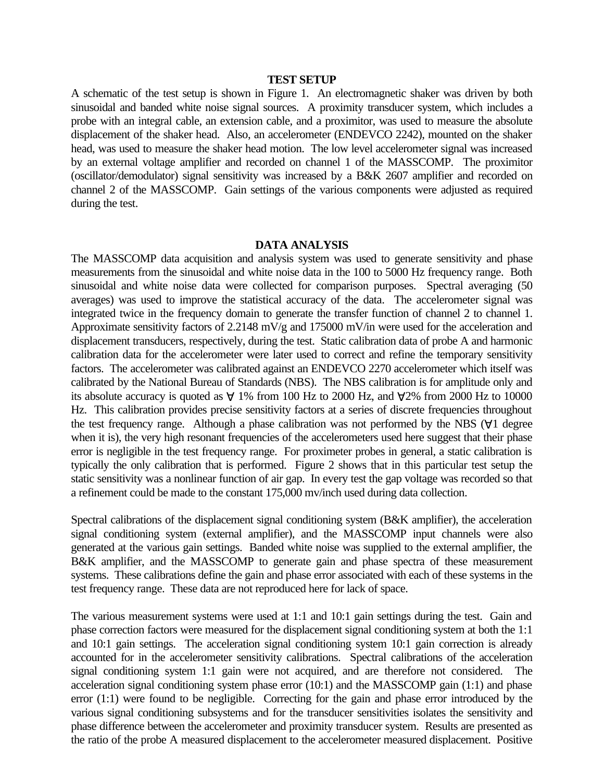# **TEST SETUP**

A schematic of the test setup is shown in Figure 1. An electromagnetic shaker was driven by both sinusoidal and banded white noise signal sources. A proximity transducer system, which includes a probe with an integral cable, an extension cable, and a proximitor, was used to measure the absolute displacement of the shaker head. Also, an accelerometer (ENDEVCO 2242), mounted on the shaker head, was used to measure the shaker head motion. The low level accelerometer signal was increased by an external voltage amplifier and recorded on channel 1 of the MASSCOMP. The proximitor (oscillator/demodulator) signal sensitivity was increased by a B&K 2607 amplifier and recorded on channel 2 of the MASSCOMP. Gain settings of the various components were adjusted as required during the test.

### **DATA ANALYSIS**

The MASSCOMP data acquisition and analysis system was used to generate sensitivity and phase measurements from the sinusoidal and white noise data in the 100 to 5000 Hz frequency range. Both sinusoidal and white noise data were collected for comparison purposes. Spectral averaging (50 averages) was used to improve the statistical accuracy of the data. The accelerometer signal was integrated twice in the frequency domain to generate the transfer function of channel 2 to channel 1. Approximate sensitivity factors of 2.2148 mV/g and 175000 mV/in were used for the acceleration and displacement transducers, respectively, during the test. Static calibration data of probe A and harmonic calibration data for the accelerometer were later used to correct and refine the temporary sensitivity factors. The accelerometer was calibrated against an ENDEVCO 2270 accelerometer which itself was calibrated by the National Bureau of Standards (NBS). The NBS calibration is for amplitude only and its absolute accuracy is quoted as  $\forall$  1% from 100 Hz to 2000 Hz, and  $\forall$ 2% from 2000 Hz to 10000 Hz. This calibration provides precise sensitivity factors at a series of discrete frequencies throughout the test frequency range. Although a phase calibration was not performed by the NBS (∀1 degree when it is), the very high resonant frequencies of the accelerometers used here suggest that their phase error is negligible in the test frequency range. For proximeter probes in general, a static calibration is typically the only calibration that is performed. Figure 2 shows that in this particular test setup the static sensitivity was a nonlinear function of air gap. In every test the gap voltage was recorded so that a refinement could be made to the constant 175,000 mv/inch used during data collection.

Spectral calibrations of the displacement signal conditioning system (B&K amplifier), the acceleration signal conditioning system (external amplifier), and the MASSCOMP input channels were also generated at the various gain settings. Banded white noise was supplied to the external amplifier, the B&K amplifier, and the MASSCOMP to generate gain and phase spectra of these measurement systems. These calibrations define the gain and phase error associated with each of these systems in the test frequency range. These data are not reproduced here for lack of space.

The various measurement systems were used at 1:1 and 10:1 gain settings during the test. Gain and phase correction factors were measured for the displacement signal conditioning system at both the 1:1 and 10:1 gain settings. The acceleration signal conditioning system 10:1 gain correction is already accounted for in the accelerometer sensitivity calibrations. Spectral calibrations of the acceleration signal conditioning system 1:1 gain were not acquired, and are therefore not considered. The acceleration signal conditioning system phase error (10:1) and the MASSCOMP gain (1:1) and phase error (1:1) were found to be negligible. Correcting for the gain and phase error introduced by the various signal conditioning subsystems and for the transducer sensitivities isolates the sensitivity and phase difference between the accelerometer and proximity transducer system. Results are presented as the ratio of the probe A measured displacement to the accelerometer measured displacement. Positive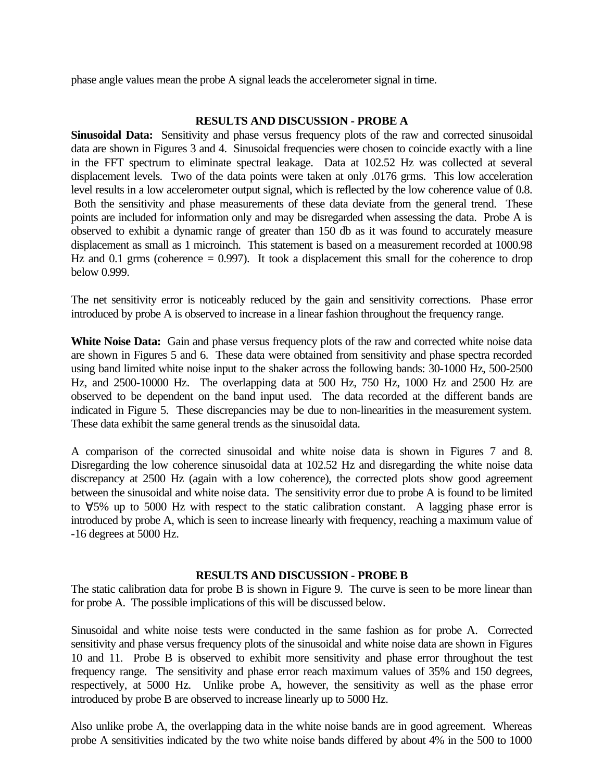phase angle values mean the probe A signal leads the accelerometer signal in time.

# **RESULTS AND DISCUSSION - PROBE A**

**Sinusoidal Data:** Sensitivity and phase versus frequency plots of the raw and corrected sinusoidal data are shown in Figures 3 and 4. Sinusoidal frequencies were chosen to coincide exactly with a line in the FFT spectrum to eliminate spectral leakage. Data at 102.52 Hz was collected at several displacement levels. Two of the data points were taken at only .0176 grms. This low acceleration level results in a low accelerometer output signal, which is reflected by the low coherence value of 0.8. Both the sensitivity and phase measurements of these data deviate from the general trend. These points are included for information only and may be disregarded when assessing the data. Probe A is observed to exhibit a dynamic range of greater than 150 db as it was found to accurately measure displacement as small as 1 microinch. This statement is based on a measurement recorded at 1000.98 Hz and 0.1 grms (coherence  $= 0.997$ ). It took a displacement this small for the coherence to drop below 0.999.

The net sensitivity error is noticeably reduced by the gain and sensitivity corrections. Phase error introduced by probe A is observed to increase in a linear fashion throughout the frequency range.

White Noise Data: Gain and phase versus frequency plots of the raw and corrected white noise data are shown in Figures 5 and 6. These data were obtained from sensitivity and phase spectra recorded using band limited white noise input to the shaker across the following bands: 30-1000 Hz, 500-2500 Hz, and 2500-10000 Hz. The overlapping data at 500 Hz, 750 Hz, 1000 Hz and 2500 Hz are observed to be dependent on the band input used. The data recorded at the different bands are indicated in Figure 5. These discrepancies may be due to non-linearities in the measurement system. These data exhibit the same general trends as the sinusoidal data.

A comparison of the corrected sinusoidal and white noise data is shown in Figures 7 and 8. Disregarding the low coherence sinusoidal data at 102.52 Hz and disregarding the white noise data discrepancy at 2500 Hz (again with a low coherence), the corrected plots show good agreement between the sinusoidal and white noise data. The sensitivity error due to probe A is found to be limited to ∀5% up to 5000 Hz with respect to the static calibration constant. A lagging phase error is introduced by probe A, which is seen to increase linearly with frequency, reaching a maximum value of -16 degrees at 5000 Hz.

# **RESULTS AND DISCUSSION - PROBE B**

The static calibration data for probe B is shown in Figure 9. The curve is seen to be more linear than for probe A. The possible implications of this will be discussed below.

Sinusoidal and white noise tests were conducted in the same fashion as for probe A. Corrected sensitivity and phase versus frequency plots of the sinusoidal and white noise data are shown in Figures 10 and 11. Probe B is observed to exhibit more sensitivity and phase error throughout the test frequency range. The sensitivity and phase error reach maximum values of 35% and 150 degrees, respectively, at 5000 Hz. Unlike probe A, however, the sensitivity as well as the phase error introduced by probe B are observed to increase linearly up to 5000 Hz.

Also unlike probe A, the overlapping data in the white noise bands are in good agreement. Whereas probe A sensitivities indicated by the two white noise bands differed by about 4% in the 500 to 1000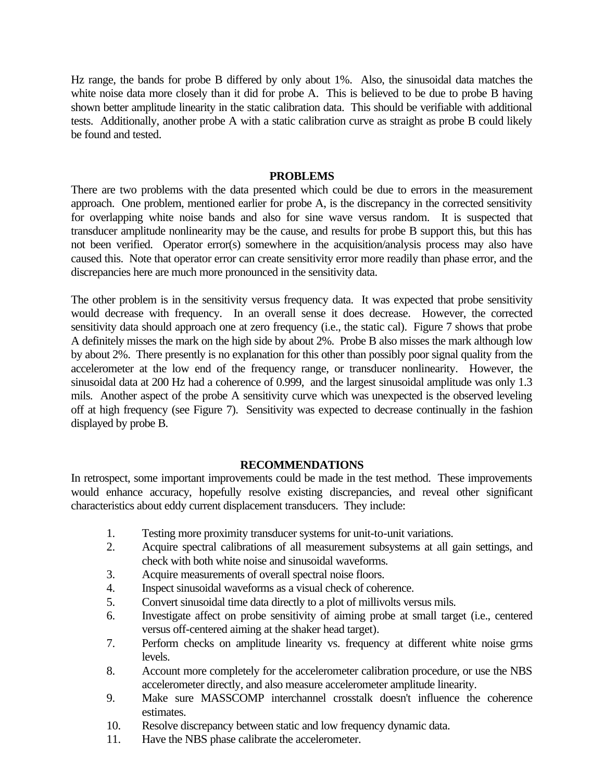Hz range, the bands for probe B differed by only about 1%. Also, the sinusoidal data matches the white noise data more closely than it did for probe A. This is believed to be due to probe B having shown better amplitude linearity in the static calibration data. This should be verifiable with additional tests. Additionally, another probe A with a static calibration curve as straight as probe B could likely be found and tested.

### **PROBLEMS**

There are two problems with the data presented which could be due to errors in the measurement approach. One problem, mentioned earlier for probe A, is the discrepancy in the corrected sensitivity for overlapping white noise bands and also for sine wave versus random. It is suspected that transducer amplitude nonlinearity may be the cause, and results for probe B support this, but this has not been verified. Operator error(s) somewhere in the acquisition/analysis process may also have caused this. Note that operator error can create sensitivity error more readily than phase error, and the discrepancies here are much more pronounced in the sensitivity data.

The other problem is in the sensitivity versus frequency data. It was expected that probe sensitivity would decrease with frequency. In an overall sense it does decrease. However, the corrected sensitivity data should approach one at zero frequency (i.e., the static cal). Figure 7 shows that probe A definitely misses the mark on the high side by about 2%. Probe B also misses the mark although low by about 2%. There presently is no explanation for this other than possibly poor signal quality from the accelerometer at the low end of the frequency range, or transducer nonlinearity. However, the sinusoidal data at 200 Hz had a coherence of 0.999, and the largest sinusoidal amplitude was only 1.3 mils. Another aspect of the probe A sensitivity curve which was unexpected is the observed leveling off at high frequency (see Figure 7). Sensitivity was expected to decrease continually in the fashion displayed by probe B.

## **RECOMMENDATIONS**

In retrospect, some important improvements could be made in the test method. These improvements would enhance accuracy, hopefully resolve existing discrepancies, and reveal other significant characteristics about eddy current displacement transducers. They include:

- 1. Testing more proximity transducer systems for unit-to-unit variations.
- 2. Acquire spectral calibrations of all measurement subsystems at all gain settings, and check with both white noise and sinusoidal waveforms.
- 3. Acquire measurements of overall spectral noise floors.
- 4. Inspect sinusoidal waveforms as a visual check of coherence.
- 5. Convert sinusoidal time data directly to a plot of millivolts versus mils.
- 6. Investigate affect on probe sensitivity of aiming probe at small target (i.e., centered versus off-centered aiming at the shaker head target).
- 7. Perform checks on amplitude linearity vs. frequency at different white noise grms levels.
- 8. Account more completely for the accelerometer calibration procedure, or use the NBS accelerometer directly, and also measure accelerometer amplitude linearity.
- 9. Make sure MASSCOMP interchannel crosstalk doesn't influence the coherence estimates.
- 10. Resolve discrepancy between static and low frequency dynamic data.
- 11. Have the NBS phase calibrate the accelerometer.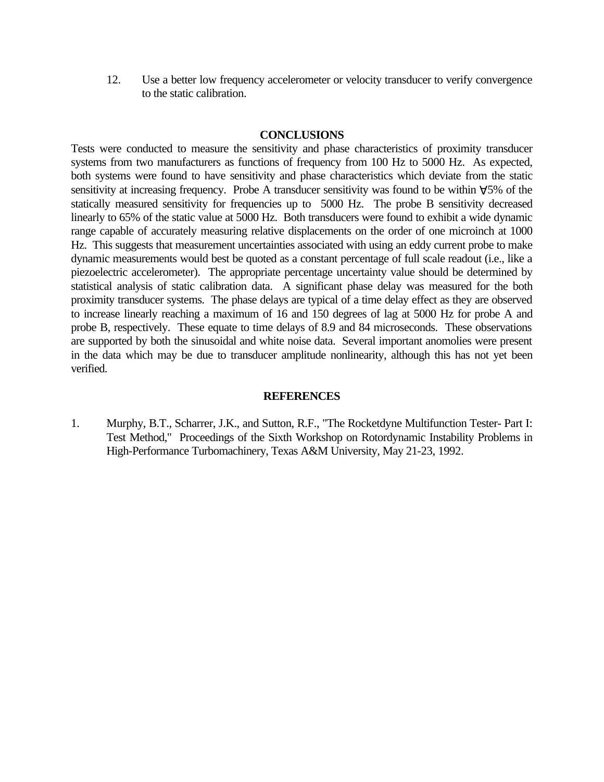12. Use a better low frequency accelerometer or velocity transducer to verify convergence to the static calibration.

### **CONCLUSIONS**

Tests were conducted to measure the sensitivity and phase characteristics of proximity transducer systems from two manufacturers as functions of frequency from 100 Hz to 5000 Hz. As expected, both systems were found to have sensitivity and phase characteristics which deviate from the static sensitivity at increasing frequency. Probe A transducer sensitivity was found to be within  $\forall$ 5% of the statically measured sensitivity for frequencies up to 5000 Hz. The probe B sensitivity decreased linearly to 65% of the static value at 5000 Hz. Both transducers were found to exhibit a wide dynamic range capable of accurately measuring relative displacements on the order of one microinch at 1000 Hz. This suggests that measurement uncertainties associated with using an eddy current probe to make dynamic measurements would best be quoted as a constant percentage of full scale readout (i.e., like a piezoelectric accelerometer). The appropriate percentage uncertainty value should be determined by statistical analysis of static calibration data. A significant phase delay was measured for the both proximity transducer systems. The phase delays are typical of a time delay effect as they are observed to increase linearly reaching a maximum of 16 and 150 degrees of lag at 5000 Hz for probe A and probe B, respectively. These equate to time delays of 8.9 and 84 microseconds. These observations are supported by both the sinusoidal and white noise data. Several important anomolies were present in the data which may be due to transducer amplitude nonlinearity, although this has not yet been verified.

### **REFERENCES**

1. Murphy, B.T., Scharrer, J.K., and Sutton, R.F., "The Rocketdyne Multifunction Tester- Part I: Test Method," Proceedings of the Sixth Workshop on Rotordynamic Instability Problems in High-Performance Turbomachinery, Texas A&M University, May 21-23, 1992.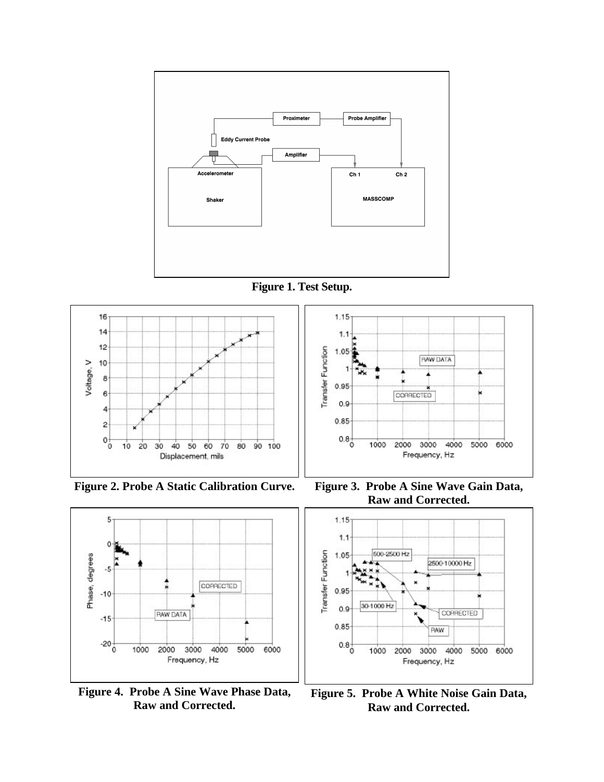







**Figure 4. Probe A Sine Wave Phase Data, Raw and Corrected.**



**Figure 2. Probe A Static Calibration Curve. Figure 3. Probe A Sine Wave Gain Data, Raw and Corrected.**



**Figure 5. Probe A White Noise Gain Data, Raw and Corrected.**